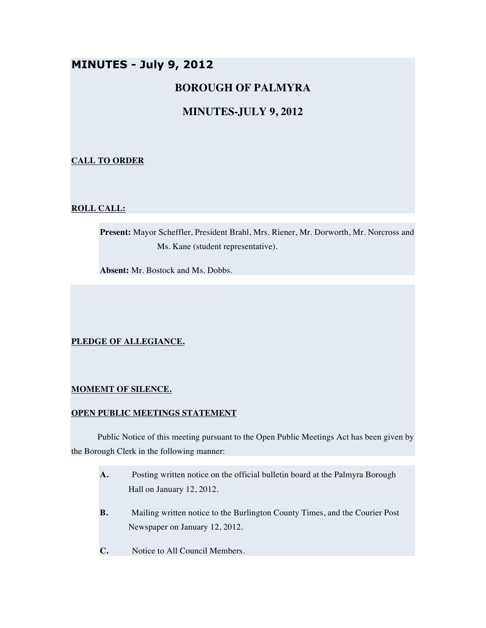# **MINUTES - July 9, 2012**

# **BOROUGH OF PALMYRA**

# **MINUTES-JULY 9, 2012**

## **CALL TO ORDER**

## **ROLL CALL:**

**Present:** Mayor Scheffler, President Brahl, Mrs. Riener, Mr. Dorworth, Mr. Norcross and Ms. Kane (student representative).

**Absent:** Mr. Bostock and Ms. Dobbs.

### **PLEDGE OF ALLEGIANCE.**

#### **MOMEMT OF SILENCE.**

#### **OPEN PUBLIC MEETINGS STATEMENT**

Public Notice of this meeting pursuant to the Open Public Meetings Act has been given by the Borough Clerk in the following manner:

- **A.** Posting written notice on the official bulletin board at the Palmyra Borough Hall on January 12, 2012.
- **B.** Mailing written notice to the Burlington County Times, and the Courier Post Newspaper on January 12, 2012.
- **C.** Notice to All Council Members.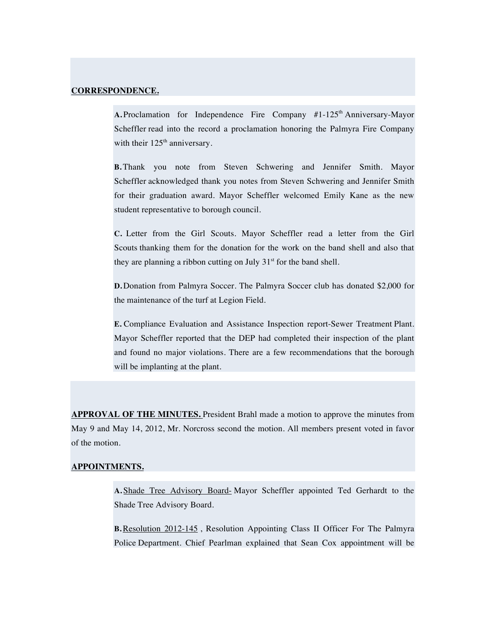#### **CORRESPONDENCE.**

**A.** Proclamation for Independence Fire Company #1-125<sup>th</sup> Anniversary-Mayor Scheffler read into the record a proclamation honoring the Palmyra Fire Company with their  $125<sup>th</sup>$  anniversary.

**B.** Thank you note from Steven Schwering and Jennifer Smith. Mayor Scheffler acknowledged thank you notes from Steven Schwering and Jennifer Smith for their graduation award. Mayor Scheffler welcomed Emily Kane as the new student representative to borough council.

**C.** Letter from the Girl Scouts. Mayor Scheffler read a letter from the Girl Scouts thanking them for the donation for the work on the band shell and also that they are planning a ribbon cutting on July  $31<sup>st</sup>$  for the band shell.

**D.** Donation from Palmyra Soccer. The Palmyra Soccer club has donated \$2,000 for the maintenance of the turf at Legion Field.

**E.** Compliance Evaluation and Assistance Inspection report-Sewer Treatment Plant. Mayor Scheffler reported that the DEP had completed their inspection of the plant and found no major violations. There are a few recommendations that the borough will be implanting at the plant.

**APPROVAL OF THE MINUTES.** President Brahl made a motion to approve the minutes from May 9 and May 14, 2012, Mr. Norcross second the motion. All members present voted in favor of the motion.

#### **APPOINTMENTS.**

**A.** Shade Tree Advisory Board- Mayor Scheffler appointed Ted Gerhardt to the Shade Tree Advisory Board.

**B.**Resolution 2012-145 , Resolution Appointing Class II Officer For The Palmyra Police Department. Chief Pearlman explained that Sean Cox appointment will be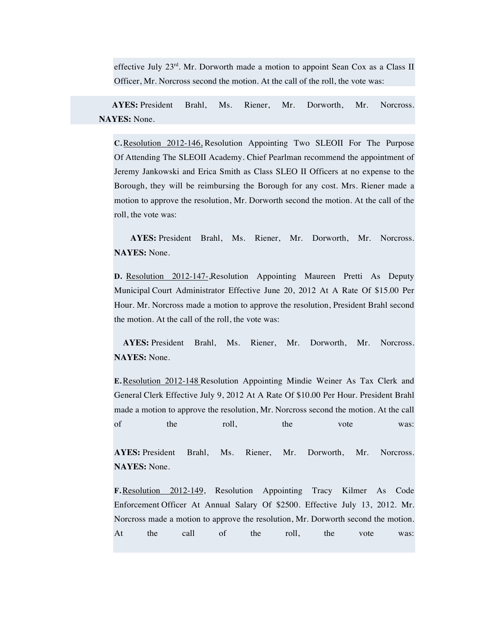effective July  $23<sup>rd</sup>$ . Mr. Dorworth made a motion to appoint Sean Cox as a Class II Officer, Mr. Norcross second the motion. At the call of the roll, the vote was:

**AYES:** President Brahl, Ms. Riener, Mr. Dorworth, Mr. Norcross. **NAYES:** None.

**C.**Resolution 2012-146, Resolution Appointing Two SLEOII For The Purpose Of Attending The SLEOII Academy. Chief Pearlman recommend the appointment of Jeremy Jankowski and Erica Smith as Class SLEO II Officers at no expense to the Borough, they will be reimbursing the Borough for any cost. Mrs. Riener made a motion to approve the resolution, Mr. Dorworth second the motion. At the call of the roll, the vote was:

**AYES:** President Brahl, Ms. Riener, Mr. Dorworth, Mr. Norcross. **NAYES:** None.

**D.** Resolution 2012-147-,Resolution Appointing Maureen Pretti As Deputy Municipal Court Administrator Effective June 20, 2012 At A Rate Of \$15.00 Per Hour. Mr. Norcross made a motion to approve the resolution, President Brahl second the motion. At the call of the roll, the vote was:

**AYES:** President Brahl, Ms. Riener, Mr. Dorworth, Mr. Norcross. **NAYES:** None.

**E.**Resolution 2012-148 Resolution Appointing Mindie Weiner As Tax Clerk and General Clerk Effective July 9, 2012 At A Rate Of \$10.00 Per Hour. President Brahl made a motion to approve the resolution, Mr. Norcross second the motion. At the call of the roll, the vote was:

**AYES:** President Brahl, Ms. Riener, Mr. Dorworth, Mr. Norcross. **NAYES:** None.

**F.**Resolution 2012-149, Resolution Appointing Tracy Kilmer As Code Enforcement Officer At Annual Salary Of \$2500. Effective July 13, 2012. Mr. Norcross made a motion to approve the resolution, Mr. Dorworth second the motion. At the call of the roll, the vote was: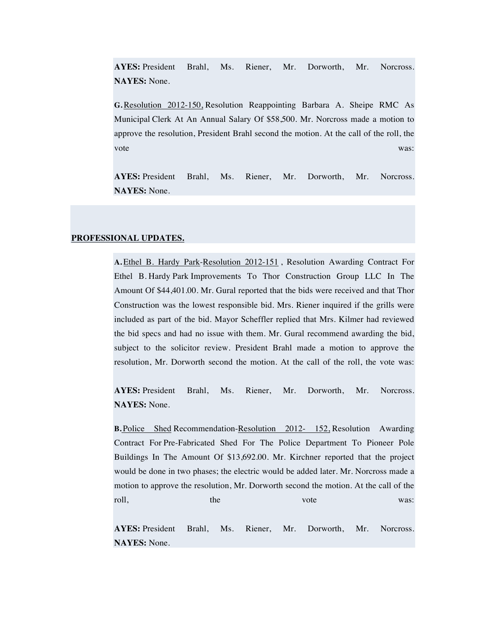**AYES:** President Brahl, Ms. Riener, Mr. Dorworth, Mr. Norcross. **NAYES:** None.

**G.**Resolution 2012-150, Resolution Reappointing Barbara A. Sheipe RMC As Municipal Clerk At An Annual Salary Of \$58,500. Mr. Norcross made a motion to approve the resolution, President Brahl second the motion. At the call of the roll, the vote was:

**AYES:** President Brahl, Ms. Riener, Mr. Dorworth, Mr. Norcross. **NAYES:** None.

#### **PROFESSIONAL UPDATES.**

**A.** Ethel B. Hardy Park-Resolution 2012-151 , Resolution Awarding Contract For Ethel B. Hardy Park Improvements To Thor Construction Group LLC In The Amount Of \$44,401.00. Mr. Gural reported that the bids were received and that Thor Construction was the lowest responsible bid. Mrs. Riener inquired if the grills were included as part of the bid. Mayor Scheffler replied that Mrs. Kilmer had reviewed the bid specs and had no issue with them. Mr. Gural recommend awarding the bid, subject to the solicitor review. President Brahl made a motion to approve the resolution, Mr. Dorworth second the motion. At the call of the roll, the vote was:

**AYES:** President Brahl, Ms. Riener, Mr. Dorworth, Mr. Norcross. **NAYES:** None.

**B.** Police Shed Recommendation-Resolution 2012- 152, Resolution Awarding Contract For Pre-Fabricated Shed For The Police Department To Pioneer Pole Buildings In The Amount Of \$13,692.00. Mr. Kirchner reported that the project would be done in two phases; the electric would be added later. Mr. Norcross made a motion to approve the resolution, Mr. Dorworth second the motion. At the call of the roll, the the vote was:

**AYES:** President Brahl, Ms. Riener, Mr. Dorworth, Mr. Norcross. **NAYES:** None.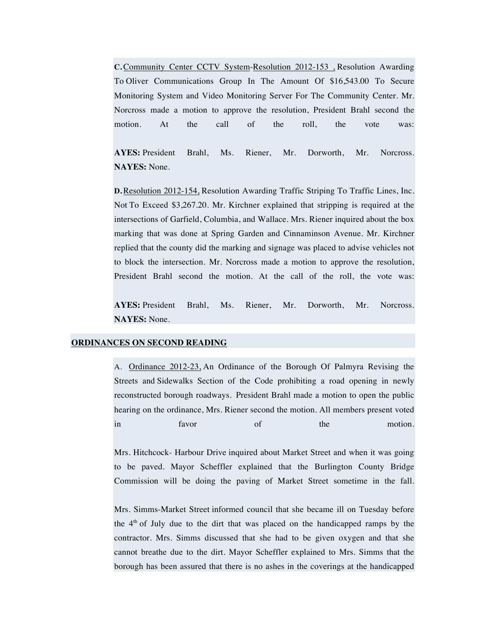**C.**Community Center CCTV System-Resolution 2012-153 , Resolution Awarding To Oliver Communications Group In The Amount Of \$16,543.00 To Secure Monitoring System and Video Monitoring Server For The Community Center. Mr. Norcross made a motion to approve the resolution, President Brahl second the motion. At the call of the roll, the vote was:

**AYES:** President Brahl, Ms. Riener, Mr. Dorworth, Mr. Norcross. **NAYES:** None.

**D.**Resolution 2012-154, Resolution Awarding Traffic Striping To Traffic Lines, Inc. Not To Exceed \$3,267.20. Mr. Kirchner explained that stripping is required at the intersections of Garfield, Columbia, and Wallace. Mrs. Riener inquired about the box marking that was done at Spring Garden and Cinnaminson Avenue. Mr. Kirchner replied that the county did the marking and signage was placed to advise vehicles not to block the intersection. Mr. Norcross made a motion to approve the resolution, President Brahl second the motion. At the call of the roll, the vote was:

**AYES:** President Brahl, Ms. Riener, Mr. Dorworth, Mr. Norcross. **NAYES:** None.

#### **ORDINANCES ON SECOND READING**

A. Ordinance 2012-23, An Ordinance of the Borough Of Palmyra Revising the Streets and Sidewalks Section of the Code prohibiting a road opening in newly reconstructed borough roadways. President Brahl made a motion to open the public hearing on the ordinance, Mrs. Riener second the motion. All members present voted in favor far of the motion.

Mrs. Hitchcock- Harbour Drive inquired about Market Street and when it was going to be paved. Mayor Scheffler explained that the Burlington County Bridge Commission will be doing the paving of Market Street sometime in the fall.

Mrs. Simms-Market Street informed council that she became ill on Tuesday before the  $4<sup>th</sup>$  of July due to the dirt that was placed on the handicapped ramps by the contractor. Mrs. Simms discussed that she had to be given oxygen and that she cannot breathe due to the dirt. Mayor Scheffler explained to Mrs. Simms that the borough has been assured that there is no ashes in the coverings at the handicapped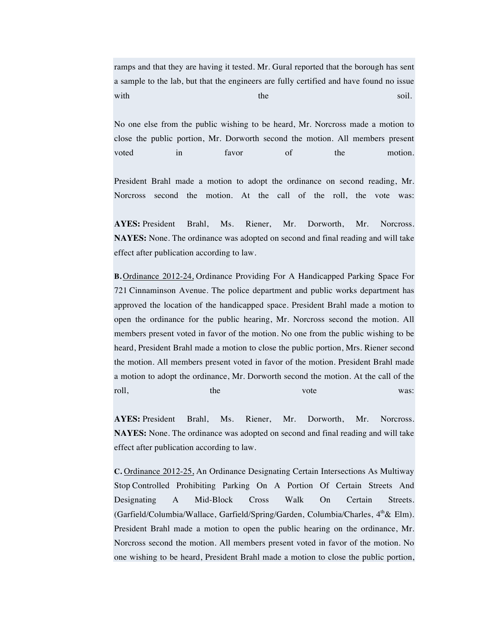ramps and that they are having it tested. Mr. Gural reported that the borough has sent a sample to the lab, but that the engineers are fully certified and have found no issue with soil.

No one else from the public wishing to be heard, Mr. Norcross made a motion to close the public portion, Mr. Dorworth second the motion. All members present voted in favor of the motion.

President Brahl made a motion to adopt the ordinance on second reading, Mr. Norcross second the motion. At the call of the roll, the vote was:

**AYES:** President Brahl, Ms. Riener, Mr. Dorworth, Mr. Norcross. **NAYES:** None. The ordinance was adopted on second and final reading and will take effect after publication according to law.

**B.** Ordinance 2012-24, Ordinance Providing For A Handicapped Parking Space For 721 Cinnaminson Avenue. The police department and public works department has approved the location of the handicapped space. President Brahl made a motion to open the ordinance for the public hearing, Mr. Norcross second the motion. All members present voted in favor of the motion. No one from the public wishing to be heard, President Brahl made a motion to close the public portion, Mrs. Riener second the motion. All members present voted in favor of the motion. President Brahl made a motion to adopt the ordinance, Mr. Dorworth second the motion. At the call of the roll, the the vote was:

**AYES:** President Brahl, Ms. Riener, Mr. Dorworth, Mr. Norcross. **NAYES:** None. The ordinance was adopted on second and final reading and will take effect after publication according to law.

**C.** Ordinance 2012-25, An Ordinance Designating Certain Intersections As Multiway Stop Controlled Prohibiting Parking On A Portion Of Certain Streets And Designating A Mid-Block Cross Walk On Certain Streets. (Garfield/Columbia/Wallace, Garfield/Spring/Garden, Columbia/Charles,  $4^{th}$ & Elm). President Brahl made a motion to open the public hearing on the ordinance, Mr. Norcross second the motion. All members present voted in favor of the motion. No one wishing to be heard, President Brahl made a motion to close the public portion,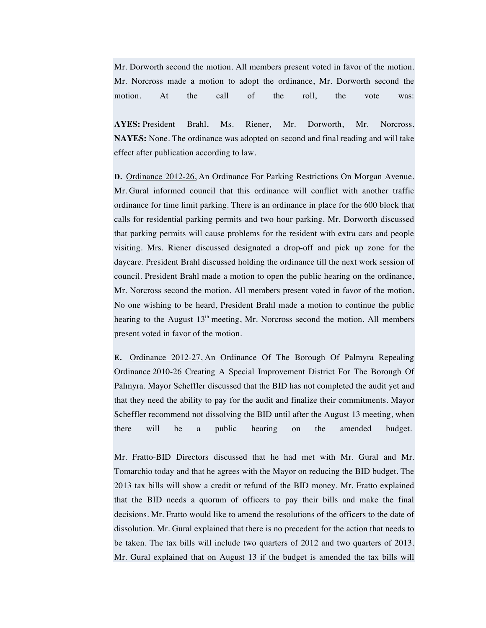Mr. Dorworth second the motion. All members present voted in favor of the motion. Mr. Norcross made a motion to adopt the ordinance, Mr. Dorworth second the motion. At the call of the roll, the vote was:

**AYES:** President Brahl, Ms. Riener, Mr. Dorworth, Mr. Norcross. **NAYES:** None. The ordinance was adopted on second and final reading and will take effect after publication according to law.

**D.** Ordinance 2012-26, An Ordinance For Parking Restrictions On Morgan Avenue. Mr. Gural informed council that this ordinance will conflict with another traffic ordinance for time limit parking. There is an ordinance in place for the 600 block that calls for residential parking permits and two hour parking. Mr. Dorworth discussed that parking permits will cause problems for the resident with extra cars and people visiting. Mrs. Riener discussed designated a drop-off and pick up zone for the daycare. President Brahl discussed holding the ordinance till the next work session of council. President Brahl made a motion to open the public hearing on the ordinance, Mr. Norcross second the motion. All members present voted in favor of the motion. No one wishing to be heard, President Brahl made a motion to continue the public hearing to the August  $13<sup>th</sup>$  meeting, Mr. Norcross second the motion. All members present voted in favor of the motion.

**E.** Ordinance 2012-27, An Ordinance Of The Borough Of Palmyra Repealing Ordinance 2010-26 Creating A Special Improvement District For The Borough Of Palmyra. Mayor Scheffler discussed that the BID has not completed the audit yet and that they need the ability to pay for the audit and finalize their commitments. Mayor Scheffler recommend not dissolving the BID until after the August 13 meeting, when there will be a public hearing on the amended budget.

Mr. Fratto-BID Directors discussed that he had met with Mr. Gural and Mr. Tomarchio today and that he agrees with the Mayor on reducing the BID budget. The 2013 tax bills will show a credit or refund of the BID money. Mr. Fratto explained that the BID needs a quorum of officers to pay their bills and make the final decisions. Mr. Fratto would like to amend the resolutions of the officers to the date of dissolution. Mr. Gural explained that there is no precedent for the action that needs to be taken. The tax bills will include two quarters of 2012 and two quarters of 2013. Mr. Gural explained that on August 13 if the budget is amended the tax bills will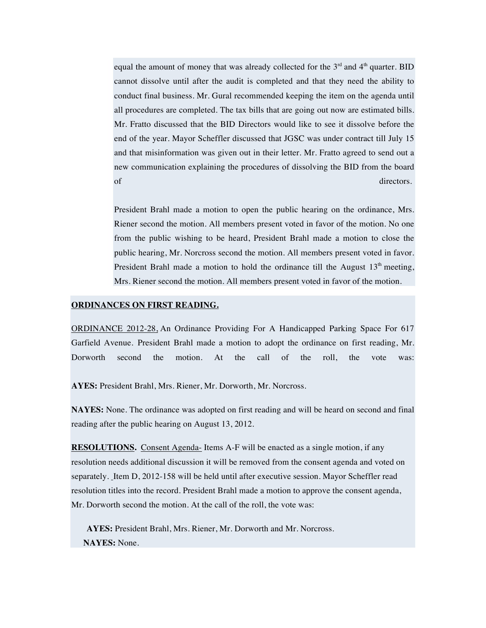equal the amount of money that was already collected for the  $3<sup>rd</sup>$  and  $4<sup>th</sup>$  quarter. BID cannot dissolve until after the audit is completed and that they need the ability to conduct final business. Mr. Gural recommended keeping the item on the agenda until all procedures are completed. The tax bills that are going out now are estimated bills. Mr. Fratto discussed that the BID Directors would like to see it dissolve before the end of the year. Mayor Scheffler discussed that JGSC was under contract till July 15 and that misinformation was given out in their letter. Mr. Fratto agreed to send out a new communication explaining the procedures of dissolving the BID from the board of directors.

President Brahl made a motion to open the public hearing on the ordinance, Mrs. Riener second the motion. All members present voted in favor of the motion. No one from the public wishing to be heard, President Brahl made a motion to close the public hearing, Mr. Norcross second the motion. All members present voted in favor. President Brahl made a motion to hold the ordinance till the August  $13<sup>th</sup>$  meeting, Mrs. Riener second the motion. All members present voted in favor of the motion.

#### **ORDINANCES ON FIRST READING.**

ORDINANCE 2012-28, An Ordinance Providing For A Handicapped Parking Space For 617 Garfield Avenue. President Brahl made a motion to adopt the ordinance on first reading, Mr. Dorworth second the motion. At the call of the roll, the vote was:

**AYES:** President Brahl, Mrs. Riener, Mr. Dorworth, Mr. Norcross.

**NAYES:** None. The ordinance was adopted on first reading and will be heard on second and final reading after the public hearing on August 13, 2012.

**RESOLUTIONS.** Consent Agenda- Items A-F will be enacted as a single motion, if any resolution needs additional discussion it will be removed from the consent agenda and voted on separately. Item D, 2012-158 will be held until after executive session. Mayor Scheffler read resolution titles into the record. President Brahl made a motion to approve the consent agenda, Mr. Dorworth second the motion. At the call of the roll, the vote was:

**AYES:** President Brahl, Mrs. Riener, Mr. Dorworth and Mr. Norcross. **NAYES:** None.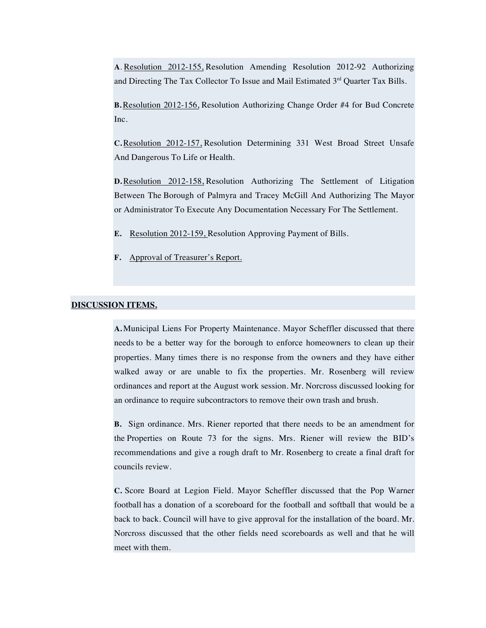**A**. Resolution 2012-155, Resolution Amending Resolution 2012-92 Authorizing and Directing The Tax Collector To Issue and Mail Estimated 3<sup>rd</sup> Ouarter Tax Bills.

**B.**Resolution 2012-156, Resolution Authorizing Change Order #4 for Bud Concrete Inc.

**C.**Resolution 2012-157, Resolution Determining 331 West Broad Street Unsafe And Dangerous To Life or Health.

**D.**Resolution 2012-158, Resolution Authorizing The Settlement of Litigation Between The Borough of Palmyra and Tracey McGill And Authorizing The Mayor or Administrator To Execute Any Documentation Necessary For The Settlement.

- **E.** Resolution 2012-159, Resolution Approving Payment of Bills.
- **F.** Approval of Treasurer's Report.

### **DISCUSSION ITEMS.**

**A.** Municipal Liens For Property Maintenance. Mayor Scheffler discussed that there needs to be a better way for the borough to enforce homeowners to clean up their properties. Many times there is no response from the owners and they have either walked away or are unable to fix the properties. Mr. Rosenberg will review ordinances and report at the August work session. Mr. Norcross discussed looking for an ordinance to require subcontractors to remove their own trash and brush.

**B.** Sign ordinance. Mrs. Riener reported that there needs to be an amendment for the Properties on Route 73 for the signs. Mrs. Riener will review the BID's recommendations and give a rough draft to Mr. Rosenberg to create a final draft for councils review.

**C.** Score Board at Legion Field. Mayor Scheffler discussed that the Pop Warner football has a donation of a scoreboard for the football and softball that would be a back to back. Council will have to give approval for the installation of the board. Mr. Norcross discussed that the other fields need scoreboards as well and that he will meet with them.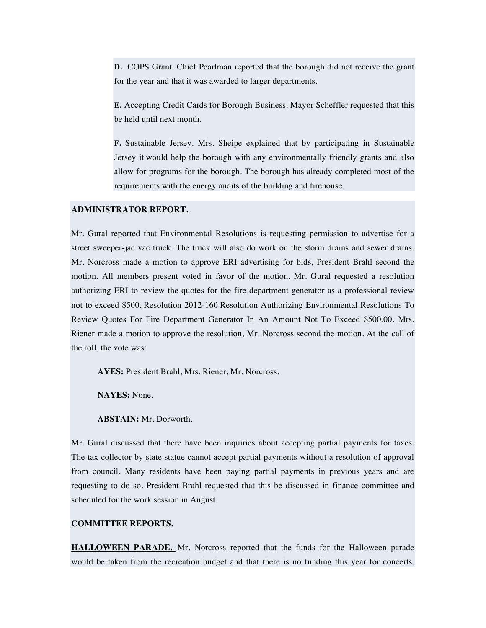**D.** COPS Grant. Chief Pearlman reported that the borough did not receive the grant for the year and that it was awarded to larger departments.

**E.** Accepting Credit Cards for Borough Business. Mayor Scheffler requested that this be held until next month.

**F.** Sustainable Jersey. Mrs. Sheipe explained that by participating in Sustainable Jersey it would help the borough with any environmentally friendly grants and also allow for programs for the borough. The borough has already completed most of the requirements with the energy audits of the building and firehouse.

#### **ADMINISTRATOR REPORT.**

Mr. Gural reported that Environmental Resolutions is requesting permission to advertise for a street sweeper-jac vac truck. The truck will also do work on the storm drains and sewer drains. Mr. Norcross made a motion to approve ERI advertising for bids, President Brahl second the motion. All members present voted in favor of the motion. Mr. Gural requested a resolution authorizing ERI to review the quotes for the fire department generator as a professional review not to exceed \$500. Resolution 2012-160 Resolution Authorizing Environmental Resolutions To Review Quotes For Fire Department Generator In An Amount Not To Exceed \$500.00. Mrs. Riener made a motion to approve the resolution, Mr. Norcross second the motion. At the call of the roll, the vote was:

**AYES:** President Brahl, Mrs. Riener, Mr. Norcross.

**NAYES:** None.

**ABSTAIN:** Mr. Dorworth.

Mr. Gural discussed that there have been inquiries about accepting partial payments for taxes. The tax collector by state statue cannot accept partial payments without a resolution of approval from council. Many residents have been paying partial payments in previous years and are requesting to do so. President Brahl requested that this be discussed in finance committee and scheduled for the work session in August.

### **COMMITTEE REPORTS.**

**HALLOWEEN PARADE.**- Mr. Norcross reported that the funds for the Halloween parade would be taken from the recreation budget and that there is no funding this year for concerts.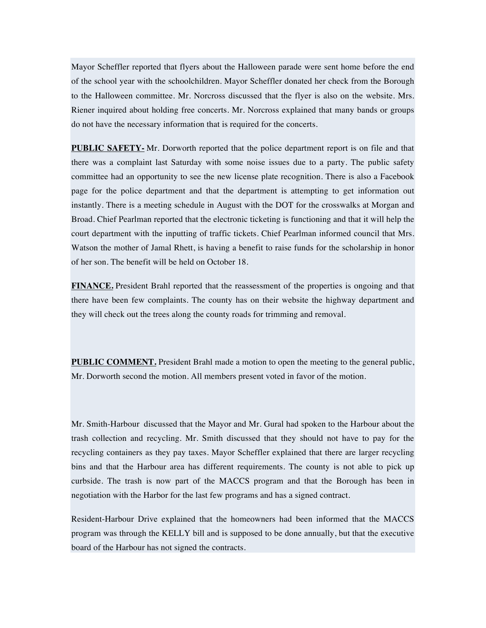Mayor Scheffler reported that flyers about the Halloween parade were sent home before the end of the school year with the schoolchildren. Mayor Scheffler donated her check from the Borough to the Halloween committee. Mr. Norcross discussed that the flyer is also on the website. Mrs. Riener inquired about holding free concerts. Mr. Norcross explained that many bands or groups do not have the necessary information that is required for the concerts.

**PUBLIC SAFETY-** Mr. Dorworth reported that the police department report is on file and that there was a complaint last Saturday with some noise issues due to a party. The public safety committee had an opportunity to see the new license plate recognition. There is also a Facebook page for the police department and that the department is attempting to get information out instantly. There is a meeting schedule in August with the DOT for the crosswalks at Morgan and Broad. Chief Pearlman reported that the electronic ticketing is functioning and that it will help the court department with the inputting of traffic tickets. Chief Pearlman informed council that Mrs. Watson the mother of Jamal Rhett, is having a benefit to raise funds for the scholarship in honor of her son. The benefit will be held on October 18.

**FINANCE.** President Brahl reported that the reassessment of the properties is ongoing and that there have been few complaints. The county has on their website the highway department and they will check out the trees along the county roads for trimming and removal.

**PUBLIC COMMENT.** President Brahl made a motion to open the meeting to the general public, Mr. Dorworth second the motion. All members present voted in favor of the motion.

Mr. Smith-Harbour discussed that the Mayor and Mr. Gural had spoken to the Harbour about the trash collection and recycling. Mr. Smith discussed that they should not have to pay for the recycling containers as they pay taxes. Mayor Scheffler explained that there are larger recycling bins and that the Harbour area has different requirements. The county is not able to pick up curbside. The trash is now part of the MACCS program and that the Borough has been in negotiation with the Harbor for the last few programs and has a signed contract.

Resident-Harbour Drive explained that the homeowners had been informed that the MACCS program was through the KELLY bill and is supposed to be done annually, but that the executive board of the Harbour has not signed the contracts.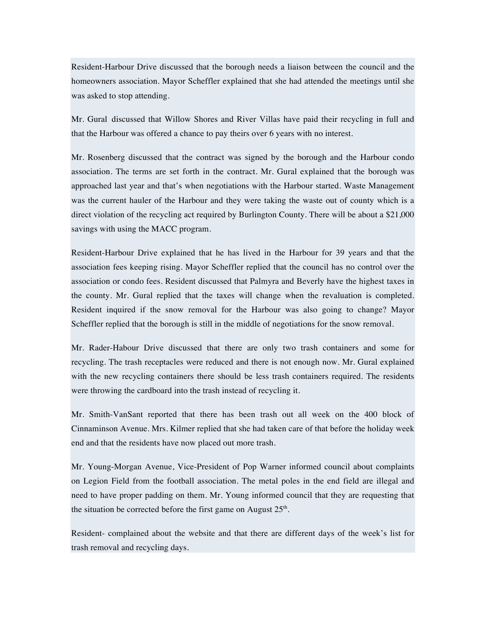Resident-Harbour Drive discussed that the borough needs a liaison between the council and the homeowners association. Mayor Scheffler explained that she had attended the meetings until she was asked to stop attending.

Mr. Gural discussed that Willow Shores and River Villas have paid their recycling in full and that the Harbour was offered a chance to pay theirs over 6 years with no interest.

Mr. Rosenberg discussed that the contract was signed by the borough and the Harbour condo association. The terms are set forth in the contract. Mr. Gural explained that the borough was approached last year and that's when negotiations with the Harbour started. Waste Management was the current hauler of the Harbour and they were taking the waste out of county which is a direct violation of the recycling act required by Burlington County. There will be about a \$21,000 savings with using the MACC program.

Resident-Harbour Drive explained that he has lived in the Harbour for 39 years and that the association fees keeping rising. Mayor Scheffler replied that the council has no control over the association or condo fees. Resident discussed that Palmyra and Beverly have the highest taxes in the county. Mr. Gural replied that the taxes will change when the revaluation is completed. Resident inquired if the snow removal for the Harbour was also going to change? Mayor Scheffler replied that the borough is still in the middle of negotiations for the snow removal.

Mr. Rader-Habour Drive discussed that there are only two trash containers and some for recycling. The trash receptacles were reduced and there is not enough now. Mr. Gural explained with the new recycling containers there should be less trash containers required. The residents were throwing the cardboard into the trash instead of recycling it.

Mr. Smith-VanSant reported that there has been trash out all week on the 400 block of Cinnaminson Avenue. Mrs. Kilmer replied that she had taken care of that before the holiday week end and that the residents have now placed out more trash.

Mr. Young-Morgan Avenue, Vice-President of Pop Warner informed council about complaints on Legion Field from the football association. The metal poles in the end field are illegal and need to have proper padding on them. Mr. Young informed council that they are requesting that the situation be corrected before the first game on August  $25<sup>th</sup>$ .

Resident- complained about the website and that there are different days of the week's list for trash removal and recycling days.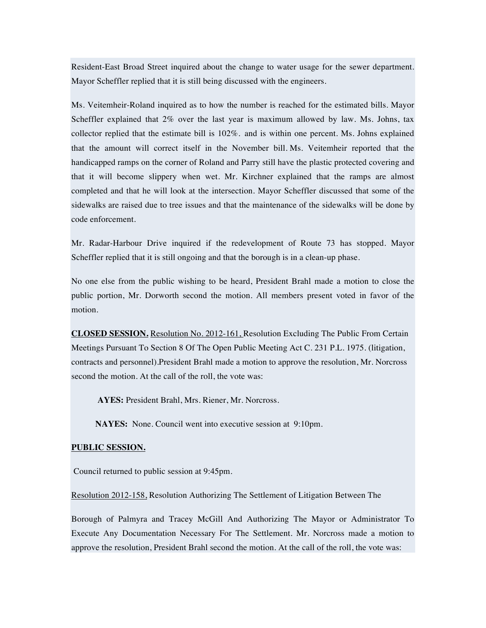Resident-East Broad Street inquired about the change to water usage for the sewer department. Mayor Scheffler replied that it is still being discussed with the engineers.

Ms. Veitemheir-Roland inquired as to how the number is reached for the estimated bills. Mayor Scheffler explained that  $2\%$  over the last year is maximum allowed by law. Ms. Johns, tax collector replied that the estimate bill is 102%. and is within one percent. Ms. Johns explained that the amount will correct itself in the November bill. Ms. Veitemheir reported that the handicapped ramps on the corner of Roland and Parry still have the plastic protected covering and that it will become slippery when wet. Mr. Kirchner explained that the ramps are almost completed and that he will look at the intersection. Mayor Scheffler discussed that some of the sidewalks are raised due to tree issues and that the maintenance of the sidewalks will be done by code enforcement.

Mr. Radar-Harbour Drive inquired if the redevelopment of Route 73 has stopped. Mayor Scheffler replied that it is still ongoing and that the borough is in a clean-up phase.

No one else from the public wishing to be heard, President Brahl made a motion to close the public portion, Mr. Dorworth second the motion. All members present voted in favor of the motion.

**CLOSED SESSION.** Resolution No. 2012-161, Resolution Excluding The Public From Certain Meetings Pursuant To Section 8 Of The Open Public Meeting Act C. 231 P.L. 1975. (litigation, contracts and personnel).President Brahl made a motion to approve the resolution, Mr. Norcross second the motion. At the call of the roll, the vote was:

**AYES:** President Brahl, Mrs. Riener, Mr. Norcross.

**NAYES:** None. Council went into executive session at 9:10pm.

## **PUBLIC SESSION.**

Council returned to public session at 9:45pm.

Resolution 2012-158, Resolution Authorizing The Settlement of Litigation Between The

Borough of Palmyra and Tracey McGill And Authorizing The Mayor or Administrator To Execute Any Documentation Necessary For The Settlement. Mr. Norcross made a motion to approve the resolution, President Brahl second the motion. At the call of the roll, the vote was: